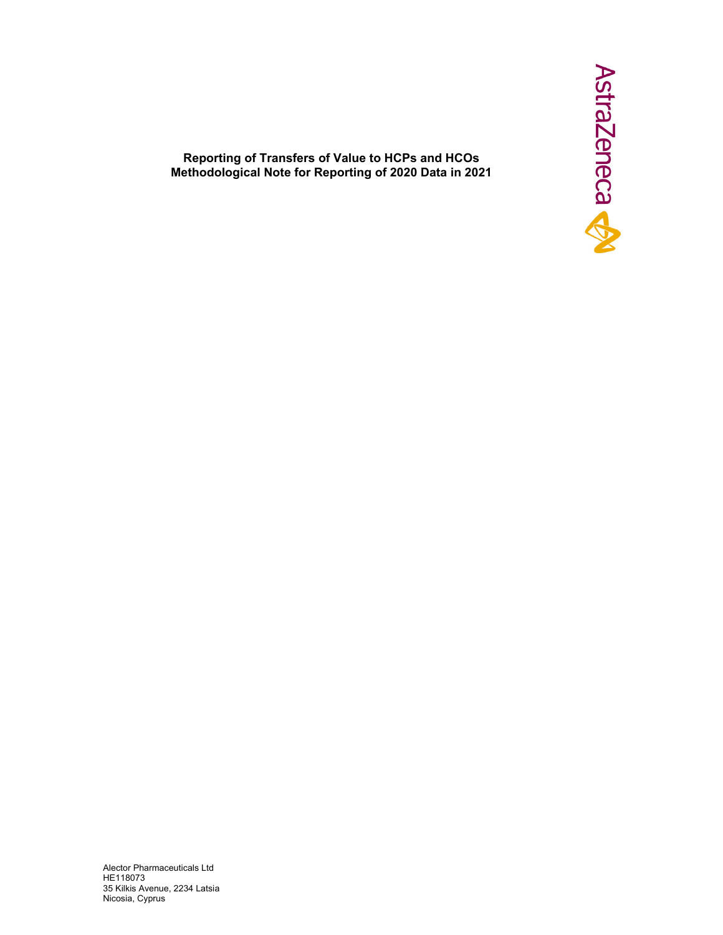

**Reporting of Transfers of Value to HCPs and HCOs Methodological Note for Reporting of 2020 Data in 2021** 

Alector Pharmaceuticals Ltd ΗΕ118073 35 Kilkis Avenue, 2234 Latsia Nicosia, Cyprus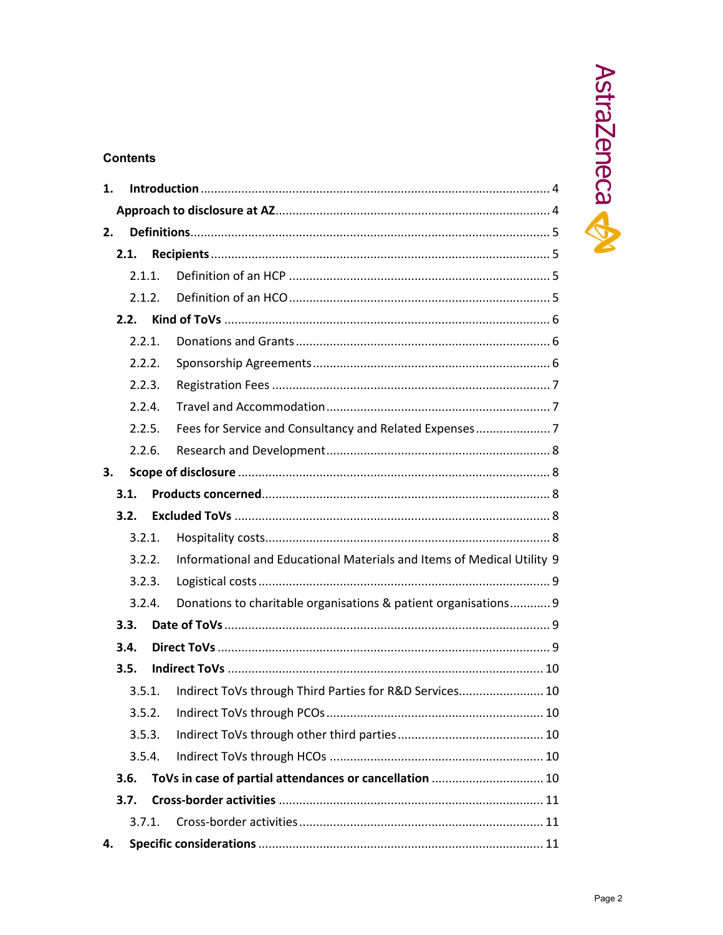# **Contents**

| 1.     |        |                                                                        |  |  |  |
|--------|--------|------------------------------------------------------------------------|--|--|--|
|        |        |                                                                        |  |  |  |
| 2.     |        |                                                                        |  |  |  |
|        | 2.1.   |                                                                        |  |  |  |
|        | 2.1.1. |                                                                        |  |  |  |
|        | 2.1.2. |                                                                        |  |  |  |
| 2.2.   |        |                                                                        |  |  |  |
|        | 2.2.1. |                                                                        |  |  |  |
|        | 2.2.2. |                                                                        |  |  |  |
|        | 2.2.3. |                                                                        |  |  |  |
|        | 2.2.4. |                                                                        |  |  |  |
|        | 2.2.5. |                                                                        |  |  |  |
|        | 2.2.6. |                                                                        |  |  |  |
| 3.     |        |                                                                        |  |  |  |
|        | 3.1.   |                                                                        |  |  |  |
|        | 3.2.   |                                                                        |  |  |  |
|        | 3.2.1. |                                                                        |  |  |  |
|        | 3.2.2. | Informational and Educational Materials and Items of Medical Utility 9 |  |  |  |
| 3.2.3. |        |                                                                        |  |  |  |
|        | 3.2.4. | Donations to charitable organisations & patient organisations 9        |  |  |  |
| 3.3.   |        |                                                                        |  |  |  |
| 3.4.   |        |                                                                        |  |  |  |
|        | 3.5.   |                                                                        |  |  |  |
|        |        | 3.5.1. Indirect ToVs through Third Parties for R&D Services 10         |  |  |  |
|        | 3.5.2. |                                                                        |  |  |  |
|        | 3.5.3. |                                                                        |  |  |  |
|        | 3.5.4. |                                                                        |  |  |  |
| 3.6.   |        | ToVs in case of partial attendances or cancellation  10                |  |  |  |
|        | 3.7.   |                                                                        |  |  |  |
|        | 3.7.1. |                                                                        |  |  |  |
| 4.     |        |                                                                        |  |  |  |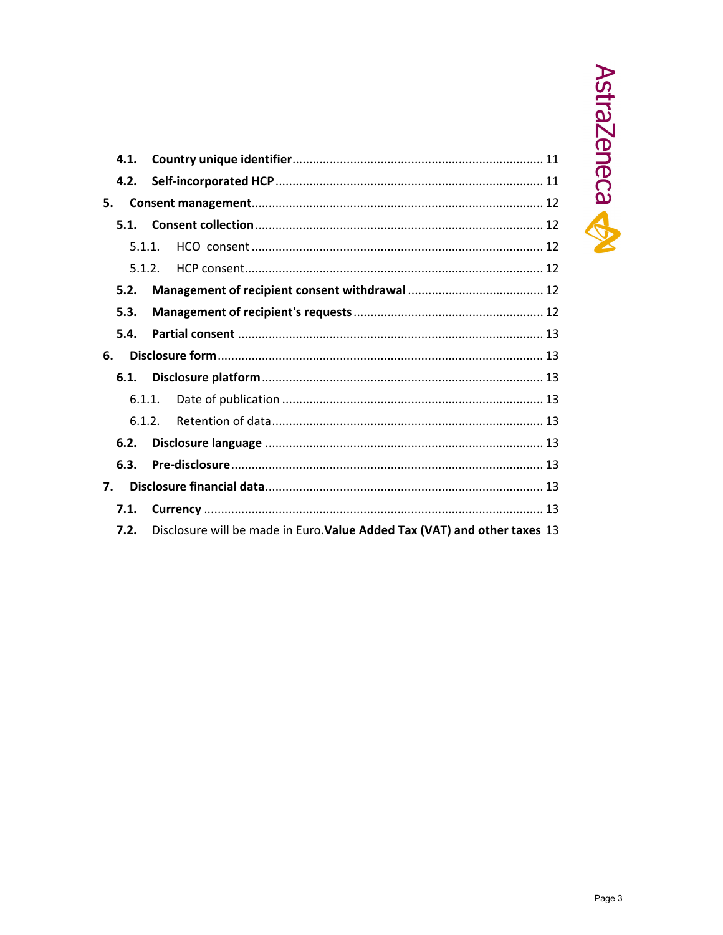

|    | 4.1.   |                                                                           |  |
|----|--------|---------------------------------------------------------------------------|--|
|    | 4.2.   |                                                                           |  |
| 5. |        |                                                                           |  |
|    | 5.1.   |                                                                           |  |
|    | 5.1.1. |                                                                           |  |
|    | 5.1.2. |                                                                           |  |
|    | 5.2.   |                                                                           |  |
|    | 5.3.   |                                                                           |  |
|    | 5.4.   |                                                                           |  |
| 6. |        |                                                                           |  |
|    | 6.1.   |                                                                           |  |
|    | 6.1.1. |                                                                           |  |
|    | 6.1.2. |                                                                           |  |
|    | 6.2.   |                                                                           |  |
|    | 6.3.   |                                                                           |  |
| 7. |        |                                                                           |  |
|    | 7.1.   |                                                                           |  |
|    | 7.2.   | Disclosure will be made in Euro. Value Added Tax (VAT) and other taxes 13 |  |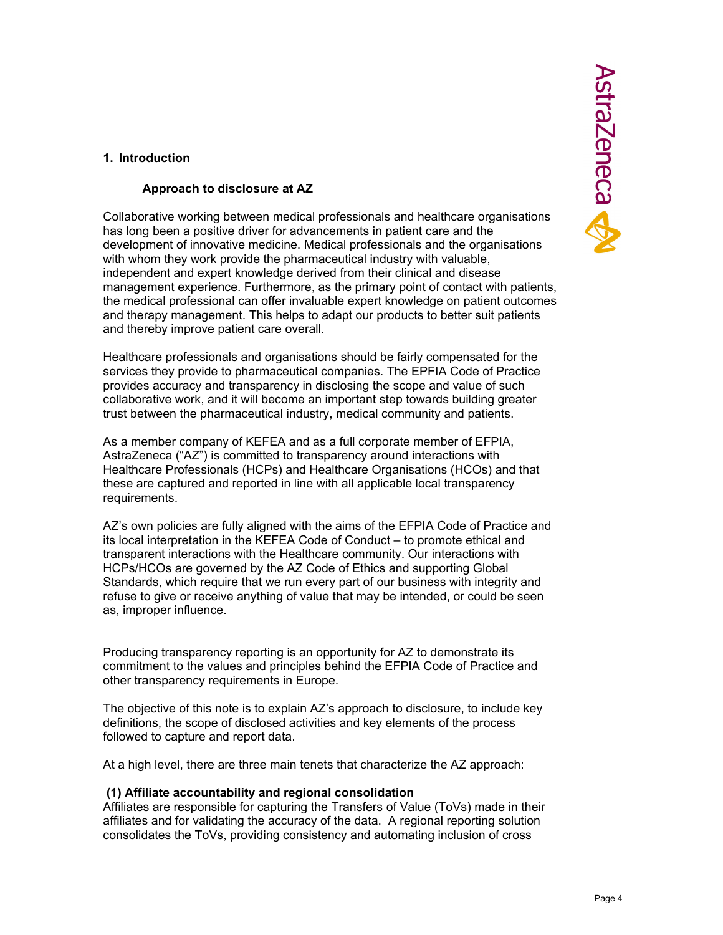## **Approach to disclosure at AZ**

Collaborative working between medical professionals and healthcare organisations has long been a positive driver for advancements in patient care and the development of innovative medicine. Medical professionals and the organisations with whom they work provide the pharmaceutical industry with valuable, independent and expert knowledge derived from their clinical and disease management experience. Furthermore, as the primary point of contact with patients, the medical professional can offer invaluable expert knowledge on patient outcomes and therapy management. This helps to adapt our products to better suit patients and thereby improve patient care overall.

Healthcare professionals and organisations should be fairly compensated for the services they provide to pharmaceutical companies. The EPFIA Code of Practice provides accuracy and transparency in disclosing the scope and value of such collaborative work, and it will become an important step towards building greater trust between the pharmaceutical industry, medical community and patients.

As a member company of KEFEA and as a full corporate member of EFPIA, AstraZeneca ("AZ") is committed to transparency around interactions with Healthcare Professionals (HCPs) and Healthcare Organisations (HCOs) and that these are captured and reported in line with all applicable local transparency requirements.

AZ's own policies are fully aligned with the aims of the EFPIA Code of Practice and its local interpretation in the KEFEA Code of Conduct – to promote ethical and transparent interactions with the Healthcare community. Our interactions with HCPs/HCOs are governed by the AZ Code of Ethics and supporting Global Standards, which require that we run every part of our business with integrity and refuse to give or receive anything of value that may be intended, or could be seen as, improper influence.

Producing transparency reporting is an opportunity for AZ to demonstrate its commitment to the values and principles behind the EFPIA Code of Practice and other transparency requirements in Europe.

The objective of this note is to explain AZ's approach to disclosure, to include key definitions, the scope of disclosed activities and key elements of the process followed to capture and report data.

At a high level, there are three main tenets that characterize the AZ approach:

#### **(1) Affiliate accountability and regional consolidation**

Affiliates are responsible for capturing the Transfers of Value (ToVs) made in their affiliates and for validating the accuracy of the data. A regional reporting solution consolidates the ToVs, providing consistency and automating inclusion of cross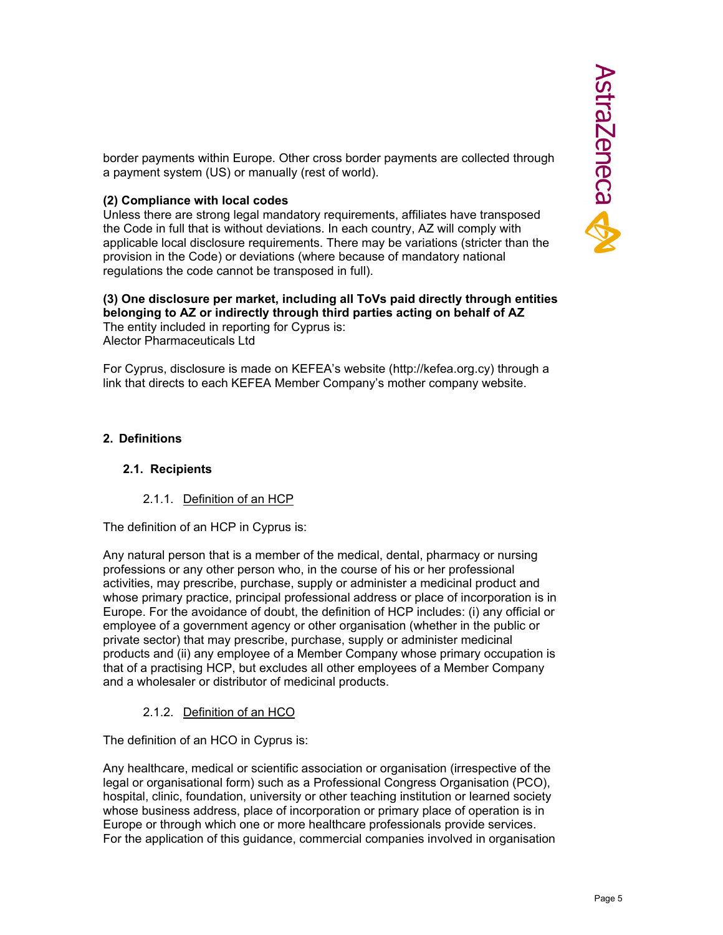border payments within Europe. Other cross border payments are collected through a payment system (US) or manually (rest of world).

#### **(2) Compliance with local codes**

Unless there are strong legal mandatory requirements, affiliates have transposed the Code in full that is without deviations. In each country, AZ will comply with applicable local disclosure requirements. There may be variations (stricter than the provision in the Code) or deviations (where because of mandatory national regulations the code cannot be transposed in full).

# **(3) One disclosure per market, including all ToVs paid directly through entities belonging to AZ or indirectly through third parties acting on behalf of AZ**

The entity included in reporting for Cyprus is: Alector Pharmaceuticals Ltd

For Cyprus, disclosure is made on KEFEA's website (http://kefea.org.cy) through a link that directs to each KEFEA Member Company's mother company website.

## **2. Definitions**

#### **2.1. Recipients**

#### 2.1.1. Definition of an HCP

The definition of an HCP in Cyprus is:

Any natural person that is a member of the medical, dental, pharmacy or nursing professions or any other person who, in the course of his or her professional activities, may prescribe, purchase, supply or administer a medicinal product and whose primary practice, principal professional address or place of incorporation is in Europe. For the avoidance of doubt, the definition of HCP includes: (i) any official or employee of a government agency or other organisation (whether in the public or private sector) that may prescribe, purchase, supply or administer medicinal products and (ii) any employee of a Member Company whose primary occupation is that of a practising HCP, but excludes all other employees of a Member Company and a wholesaler or distributor of medicinal products.

## 2.1.2. Definition of an HCO

The definition of an HCO in Cyprus is:

Any healthcare, medical or scientific association or organisation (irrespective of the legal or organisational form) such as a Professional Congress Organisation (PCO), hospital, clinic, foundation, university or other teaching institution or learned society whose business address, place of incorporation or primary place of operation is in Europe or through which one or more healthcare professionals provide services. For the application of this guidance, commercial companies involved in organisation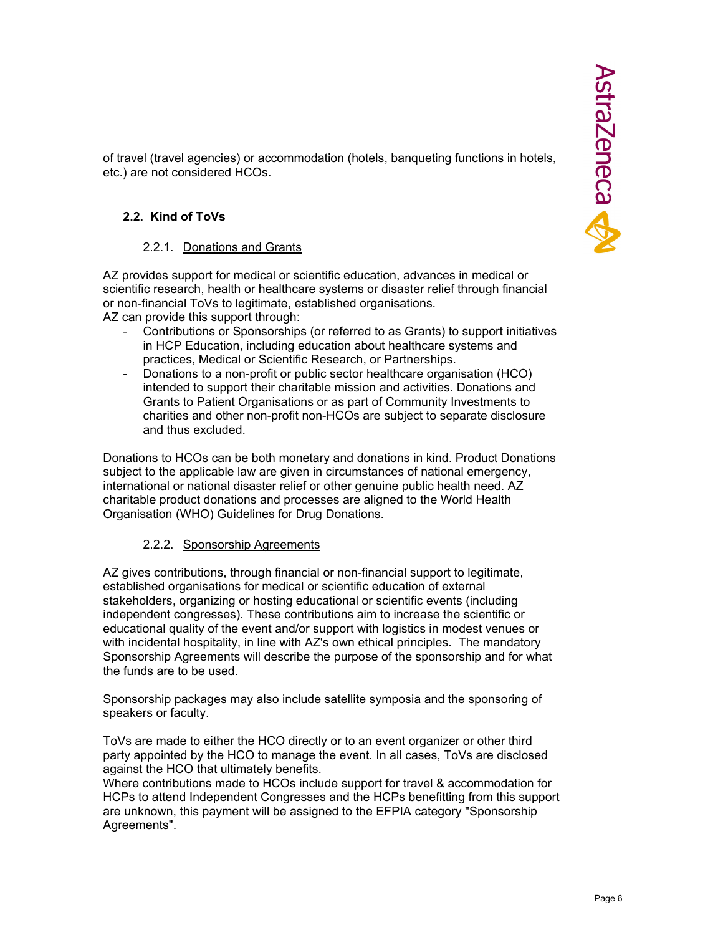of travel (travel agencies) or accommodation (hotels, banqueting functions in hotels, etc.) are not considered HCOs.

## **2.2. Kind of ToVs**

#### 2.2.1. Donations and Grants

AZ provides support for medical or scientific education, advances in medical or scientific research, health or healthcare systems or disaster relief through financial or non-financial ToVs to legitimate, established organisations.

AZ can provide this support through:

- Contributions or Sponsorships (or referred to as Grants) to support initiatives in HCP Education, including education about healthcare systems and practices, Medical or Scientific Research, or Partnerships.
- Donations to a non-profit or public sector healthcare organisation (HCO) intended to support their charitable mission and activities. Donations and Grants to Patient Organisations or as part of Community Investments to charities and other non-profit non-HCOs are subject to separate disclosure and thus excluded.

Donations to HCOs can be both monetary and donations in kind. Product Donations subject to the applicable law are given in circumstances of national emergency, international or national disaster relief or other genuine public health need. AZ charitable product donations and processes are aligned to the World Health Organisation (WHO) Guidelines for Drug Donations.

## 2.2.2. Sponsorship Agreements

AZ gives contributions, through financial or non-financial support to legitimate, established organisations for medical or scientific education of external stakeholders, organizing or hosting educational or scientific events (including independent congresses). These contributions aim to increase the scientific or educational quality of the event and/or support with logistics in modest venues or with incidental hospitality, in line with AZ's own ethical principles. The mandatory Sponsorship Agreements will describe the purpose of the sponsorship and for what the funds are to be used.

Sponsorship packages may also include satellite symposia and the sponsoring of speakers or faculty.

ToVs are made to either the HCO directly or to an event organizer or other third party appointed by the HCO to manage the event. In all cases, ToVs are disclosed against the HCO that ultimately benefits.

Where contributions made to HCOs include support for travel & accommodation for HCPs to attend Independent Congresses and the HCPs benefitting from this support are unknown, this payment will be assigned to the EFPIA category "Sponsorship Agreements".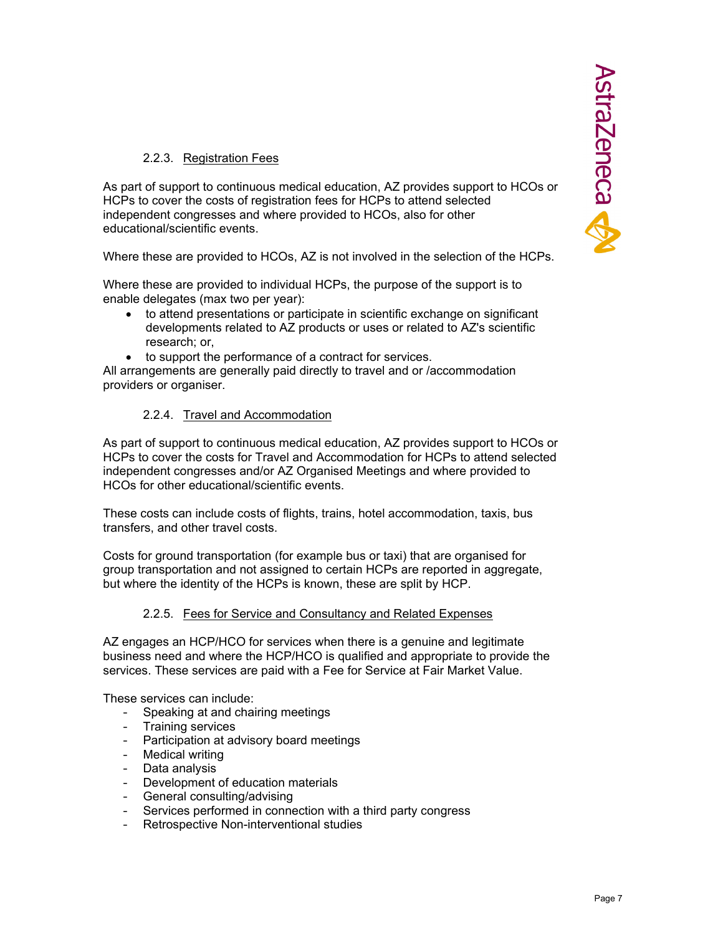## 2.2.3. Registration Fees

As part of support to continuous medical education, AZ provides support to HCOs or HCPs to cover the costs of registration fees for HCPs to attend selected independent congresses and where provided to HCOs, also for other educational/scientific events.

Where these are provided to HCOs, AZ is not involved in the selection of the HCPs.

Where these are provided to individual HCPs, the purpose of the support is to enable delegates (max two per year):

- to attend presentations or participate in scientific exchange on significant developments related to AZ products or uses or related to AZ's scientific research; or,
- to support the performance of a contract for services.

All arrangements are generally paid directly to travel and or /accommodation providers or organiser.

## 2.2.4. Travel and Accommodation

As part of support to continuous medical education, AZ provides support to HCOs or HCPs to cover the costs for Travel and Accommodation for HCPs to attend selected independent congresses and/or AZ Organised Meetings and where provided to HCOs for other educational/scientific events.

These costs can include costs of flights, trains, hotel accommodation, taxis, bus transfers, and other travel costs.

Costs for ground transportation (for example bus or taxi) that are organised for group transportation and not assigned to certain HCPs are reported in aggregate, but where the identity of the HCPs is known, these are split by HCP.

## 2.2.5. Fees for Service and Consultancy and Related Expenses

AZ engages an HCP/HCO for services when there is a genuine and legitimate business need and where the HCP/HCO is qualified and appropriate to provide the services. These services are paid with a Fee for Service at Fair Market Value.

These services can include:

- Speaking at and chairing meetings
- Training services
- Participation at advisory board meetings
- Medical writing
- Data analysis
- Development of education materials
- General consulting/advising
- Services performed in connection with a third party congress
- Retrospective Non-interventional studies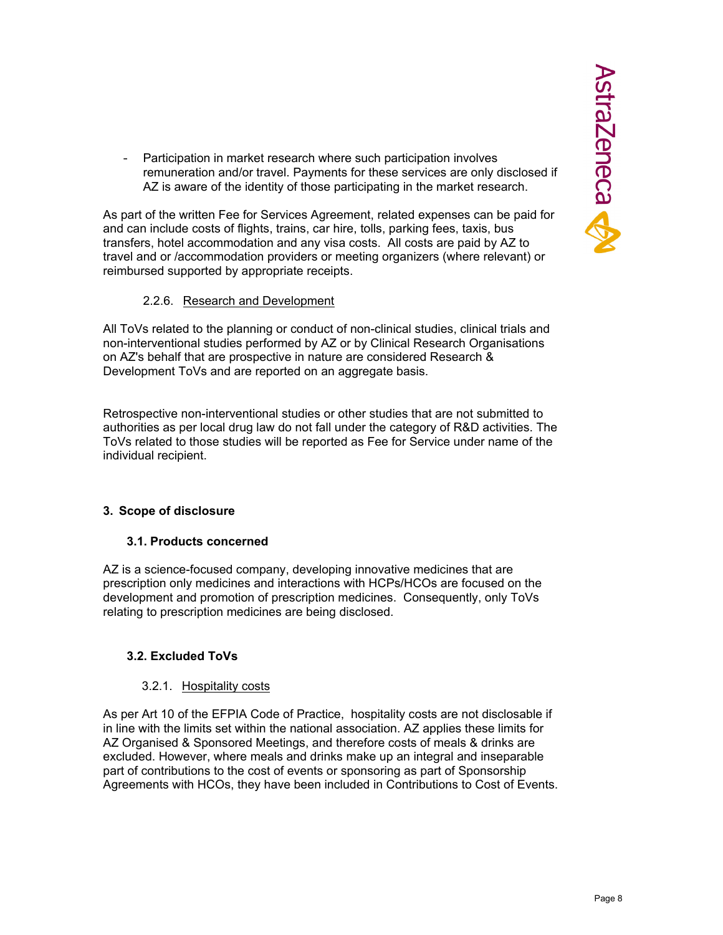- Participation in market research where such participation involves remuneration and/or travel. Payments for these services are only disclosed if AZ is aware of the identity of those participating in the market research.

As part of the written Fee for Services Agreement, related expenses can be paid for and can include costs of flights, trains, car hire, tolls, parking fees, taxis, bus transfers, hotel accommodation and any visa costs. All costs are paid by AZ to travel and or /accommodation providers or meeting organizers (where relevant) or reimbursed supported by appropriate receipts.

## 2.2.6. Research and Development

All ToVs related to the planning or conduct of non-clinical studies, clinical trials and non-interventional studies performed by AZ or by Clinical Research Organisations on AZ's behalf that are prospective in nature are considered Research & Development ToVs and are reported on an aggregate basis.

Retrospective non-interventional studies or other studies that are not submitted to authorities as per local drug law do not fall under the category of R&D activities. The ToVs related to those studies will be reported as Fee for Service under name of the individual recipient.

## **3. Scope of disclosure**

## **3.1. Products concerned**

AZ is a science-focused company, developing innovative medicines that are prescription only medicines and interactions with HCPs/HCOs are focused on the development and promotion of prescription medicines. Consequently, only ToVs relating to prescription medicines are being disclosed.

# **3.2. Excluded ToVs**

## 3.2.1. Hospitality costs

As per Art 10 of the EFPIA Code of Practice, hospitality costs are not disclosable if in line with the limits set within the national association. AZ applies these limits for AZ Organised & Sponsored Meetings, and therefore costs of meals & drinks are excluded. However, where meals and drinks make up an integral and inseparable part of contributions to the cost of events or sponsoring as part of Sponsorship Agreements with HCOs, they have been included in Contributions to Cost of Events.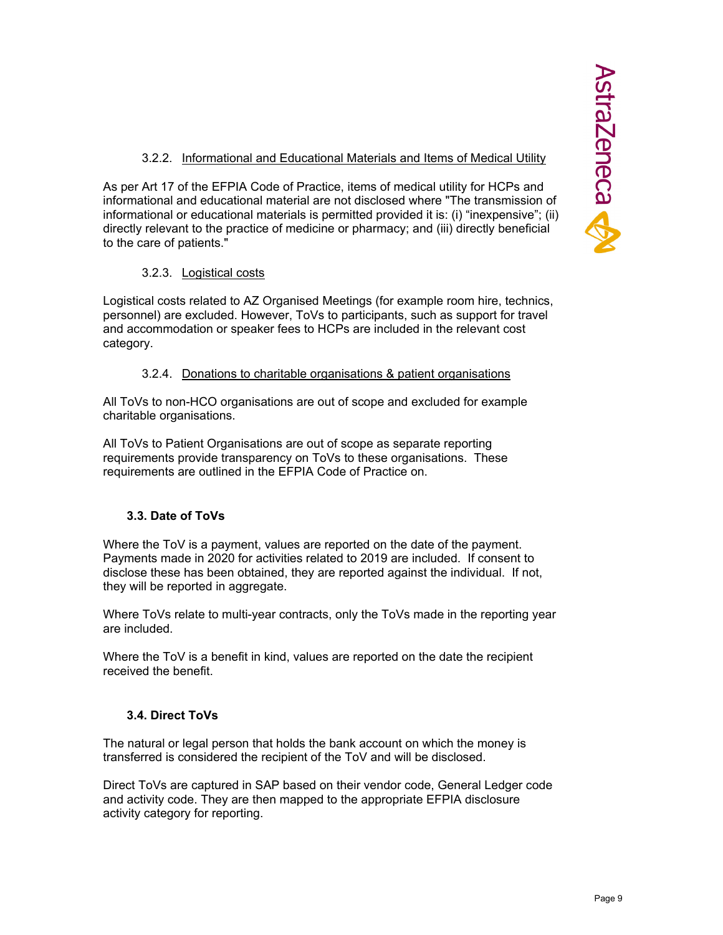## 3.2.2. Informational and Educational Materials and Items of Medical Utility

As per Art 17 of the EFPIA Code of Practice, items of medical utility for HCPs and informational and educational material are not disclosed where "The transmission of informational or educational materials is permitted provided it is: (i) "inexpensive"; (ii) directly relevant to the practice of medicine or pharmacy; and (iii) directly beneficial to the care of patients."

## 3.2.3. Logistical costs

Logistical costs related to AZ Organised Meetings (for example room hire, technics, personnel) are excluded. However, ToVs to participants, such as support for travel and accommodation or speaker fees to HCPs are included in the relevant cost category.

## 3.2.4. Donations to charitable organisations & patient organisations

All ToVs to non-HCO organisations are out of scope and excluded for example charitable organisations.

All ToVs to Patient Organisations are out of scope as separate reporting requirements provide transparency on ToVs to these organisations. These requirements are outlined in the EFPIA Code of Practice on.

# **3.3. Date of ToVs**

Where the ToV is a payment, values are reported on the date of the payment. Payments made in 2020 for activities related to 2019 are included. If consent to disclose these has been obtained, they are reported against the individual. If not, they will be reported in aggregate.

Where ToVs relate to multi-year contracts, only the ToVs made in the reporting year are included.

Where the ToV is a benefit in kind, values are reported on the date the recipient received the benefit.

# **3.4. Direct ToVs**

The natural or legal person that holds the bank account on which the money is transferred is considered the recipient of the ToV and will be disclosed.

Direct ToVs are captured in SAP based on their vendor code, General Ledger code and activity code. They are then mapped to the appropriate EFPIA disclosure activity category for reporting.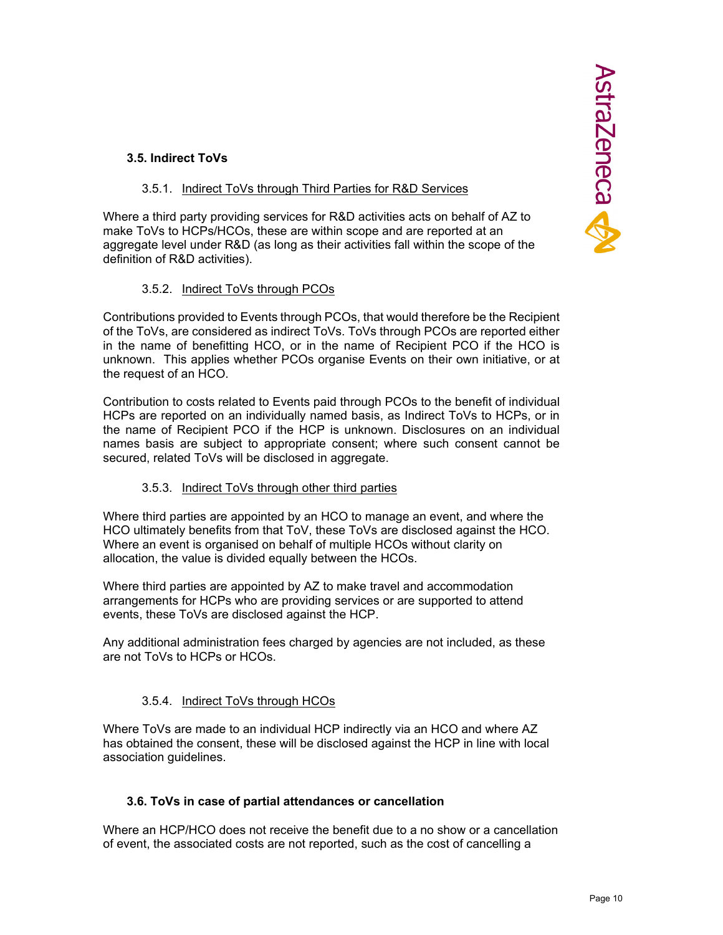## **3.5. Indirect ToVs**

## 3.5.1. Indirect ToVs through Third Parties for R&D Services

Where a third party providing services for R&D activities acts on behalf of AZ to make ToVs to HCPs/HCOs, these are within scope and are reported at an aggregate level under R&D (as long as their activities fall within the scope of the definition of R&D activities).

## 3.5.2. Indirect ToVs through PCOs

Contributions provided to Events through PCOs, that would therefore be the Recipient of the ToVs, are considered as indirect ToVs. ToVs through PCOs are reported either in the name of benefitting HCO, or in the name of Recipient PCO if the HCO is unknown. This applies whether PCOs organise Events on their own initiative, or at the request of an HCO.

Contribution to costs related to Events paid through PCOs to the benefit of individual HCPs are reported on an individually named basis, as Indirect ToVs to HCPs, or in the name of Recipient PCO if the HCP is unknown. Disclosures on an individual names basis are subject to appropriate consent; where such consent cannot be secured, related ToVs will be disclosed in aggregate.

## 3.5.3. Indirect ToVs through other third parties

Where third parties are appointed by an HCO to manage an event, and where the HCO ultimately benefits from that ToV, these ToVs are disclosed against the HCO. Where an event is organised on behalf of multiple HCOs without clarity on allocation, the value is divided equally between the HCOs.

Where third parties are appointed by AZ to make travel and accommodation arrangements for HCPs who are providing services or are supported to attend events, these ToVs are disclosed against the HCP.

Any additional administration fees charged by agencies are not included, as these are not ToVs to HCPs or HCOs.

# 3.5.4. Indirect ToVs through HCOs

Where ToVs are made to an individual HCP indirectly via an HCO and where AZ has obtained the consent, these will be disclosed against the HCP in line with local association guidelines.

## **3.6. ToVs in case of partial attendances or cancellation**

Where an HCP/HCO does not receive the benefit due to a no show or a cancellation of event, the associated costs are not reported, such as the cost of cancelling a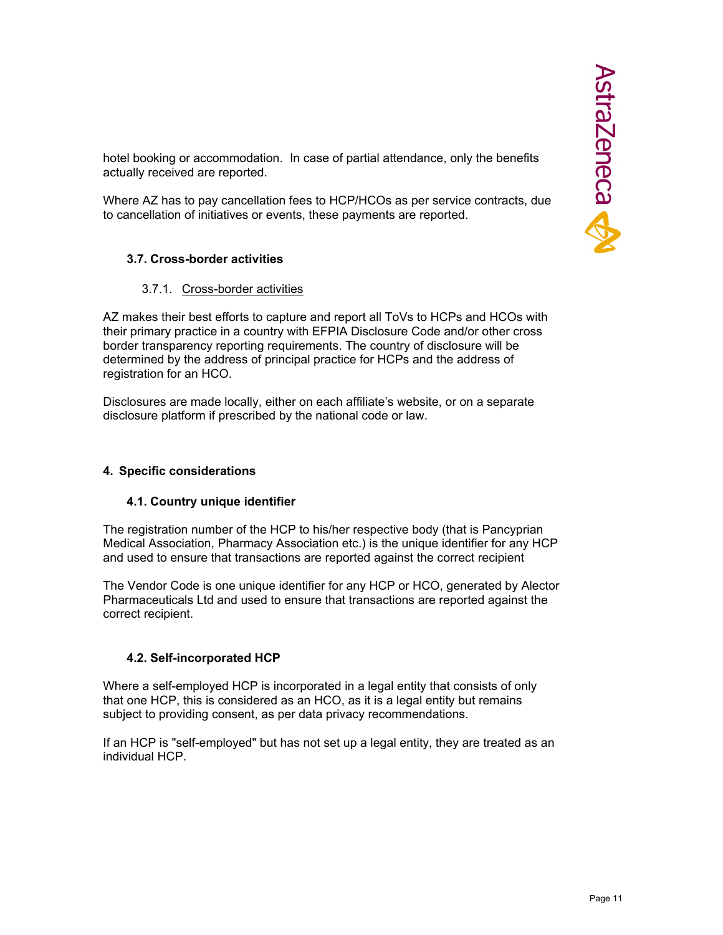hotel booking or accommodation. In case of partial attendance, only the benefits actually received are reported.

Where AZ has to pay cancellation fees to HCP/HCOs as per service contracts, due to cancellation of initiatives or events, these payments are reported.

## **3.7. Cross-border activities**

#### 3.7.1. Cross-border activities

AZ makes their best efforts to capture and report all ToVs to HCPs and HCOs with their primary practice in a country with EFPIA Disclosure Code and/or other cross border transparency reporting requirements. The country of disclosure will be determined by the address of principal practice for HCPs and the address of registration for an HCO.

Disclosures are made locally, either on each affiliate's website, or on a separate disclosure platform if prescribed by the national code or law.

#### **4. Specific considerations**

#### **4.1. Country unique identifier**

The registration number of the HCP to his/her respective body (that is Pancyprian Medical Association, Pharmacy Association etc.) is the unique identifier for any HCP and used to ensure that transactions are reported against the correct recipient

The Vendor Code is one unique identifier for any HCP or HCO, generated by Alector Pharmaceuticals Ltd and used to ensure that transactions are reported against the correct recipient.

## **4.2. Self-incorporated HCP**

Where a self-employed HCP is incorporated in a legal entity that consists of only that one HCP, this is considered as an HCO, as it is a legal entity but remains subject to providing consent, as per data privacy recommendations.

If an HCP is "self-employed" but has not set up a legal entity, they are treated as an individual HCP.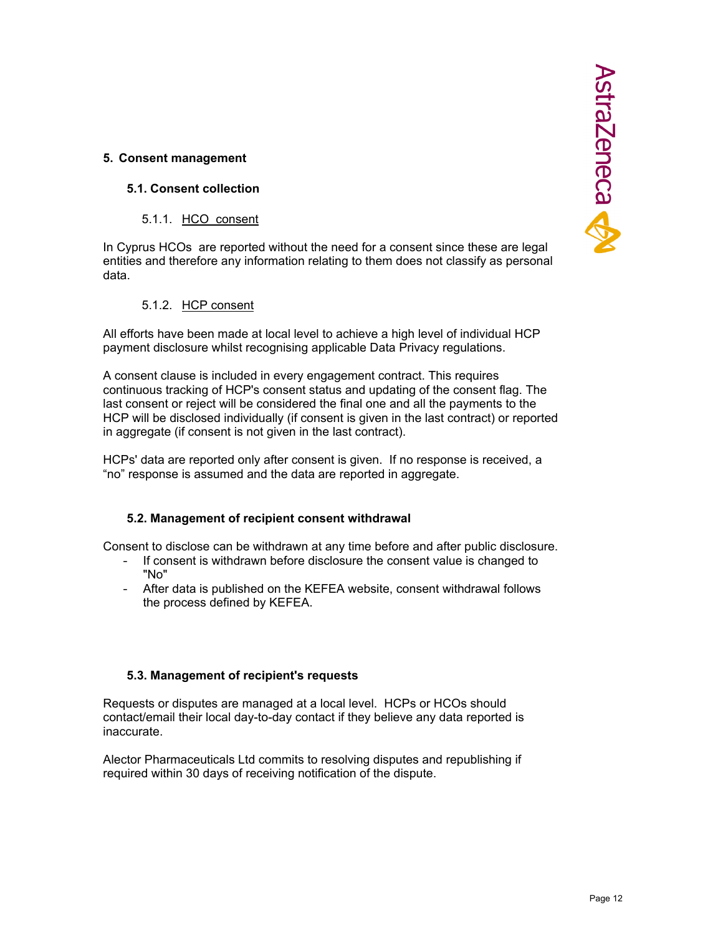# AstraZeneca

## **5. Consent management**

## **5.1. Consent collection**

5.1.1. HCO consent

In Cyprus HCOs are reported without the need for a consent since these are legal entities and therefore any information relating to them does not classify as personal data.

5.1.2. HCP consent

All efforts have been made at local level to achieve a high level of individual HCP payment disclosure whilst recognising applicable Data Privacy regulations.

A consent clause is included in every engagement contract. This requires continuous tracking of HCP's consent status and updating of the consent flag. The last consent or reject will be considered the final one and all the payments to the HCP will be disclosed individually (if consent is given in the last contract) or reported in aggregate (if consent is not given in the last contract).

HCPs' data are reported only after consent is given. If no response is received, a "no" response is assumed and the data are reported in aggregate.

#### **5.2. Management of recipient consent withdrawal**

Consent to disclose can be withdrawn at any time before and after public disclosure.

- If consent is withdrawn before disclosure the consent value is changed to "No"
- After data is published on the KEFEA website, consent withdrawal follows the process defined by KEFEA.

## **5.3. Management of recipient's requests**

Requests or disputes are managed at a local level. HCPs or HCOs should contact/email their local day-to-day contact if they believe any data reported is inaccurate.

Alector Pharmaceuticals Ltd commits to resolving disputes and republishing if required within 30 days of receiving notification of the dispute.